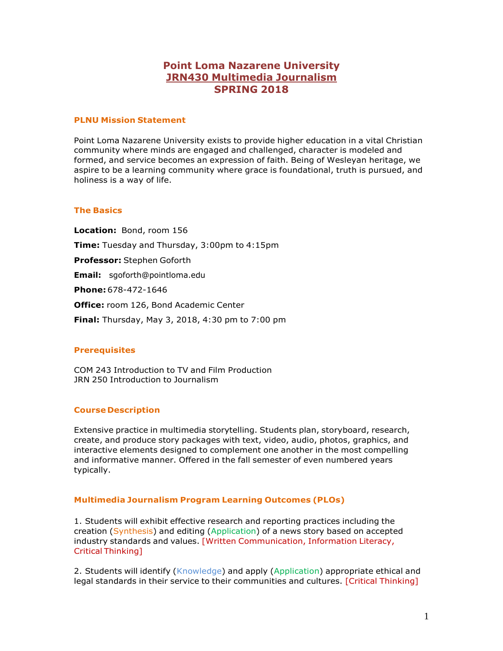# **Point Loma Nazarene University JRN430 Multimedia Journalism SPRING 2018**

### **PLNU Mission Statement**

Point Loma Nazarene University exists to provide higher education in a vital Christian community where minds are engaged and challenged, character is modeled and formed, and service becomes an expression of faith. Being of Wesleyan heritage, we aspire to be a learning community where grace is foundational, truth is pursued, and holiness is a way of life.

## **The Basics**

**Location:** Bond, room 156 **Time:** Tuesday and Thursday, 3:00pm to 4:15pm **Professor:** Stephen Goforth **Email:** [sgoforth@pointloma.edu](mailto:sgoforth@pointloma.edu) **Phone:**678-472-1646 **Office:** room 126, Bond Academic Center **Final:** Thursday, May 3, 2018, 4:30 pm to 7:00 pm

# **Prerequisites**

COM 243 Introduction to TV and Film Production JRN 250 Introduction to Journalism

#### **Course Description**

Extensive practice in multimedia storytelling. Students plan, storyboard, research, create, and produce story packages with text, video, audio, photos, graphics, and interactive elements designed to complement one another in the most compelling and informative manner. Offered in the fall semester of even numbered years typically.

# **Multimedia Journalism Program Learning Outcomes (PLOs)**

1. Students will exhibit effective research and reporting practices including the creation (Synthesis) and editing (Application) of a news story based on accepted industry standards and values. [Written Communication, Information Literacy, Critical Thinking]

2. Students will identify (Knowledge) and apply (Application) appropriate ethical and legal standards in their service to their communities and cultures. [Critical Thinking]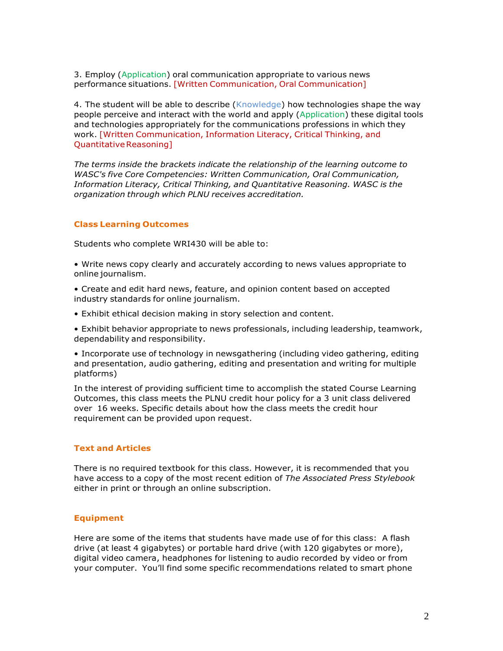3. Employ (Application) oral communication appropriate to various news performance situations. [Written Communication, Oral Communication]

4. The student will be able to describe (Knowledge) how technologies shape the way people perceive and interact with the world and apply (Application) these digital tools and technologies appropriately for the communications professions in which they work. [Written Communication, Information Literacy, Critical Thinking, and Quantitative Reasoning]

*The terms inside the brackets indicate the relationship of the learning outcome to WASC's five Core Competencies: Written Communication, Oral Communication, Information Literacy, Critical Thinking, and Quantitative Reasoning. WASC is the organization through which PLNU receives accreditation.*

## **Class Learning Outcomes**

Students who complete WRI430 will be able to:

• Write news copy clearly and accurately according to news values appropriate to online journalism.

• Create and edit hard news, feature, and opinion content based on accepted industry standards for online journalism.

• Exhibit ethical decision making in story selection and content.

• Exhibit behavior appropriate to news professionals, including leadership, teamwork, dependability and responsibility.

• Incorporate use of technology in newsgathering (including video gathering, editing and presentation, audio gathering, editing and presentation and writing for multiple platforms)

In the interest of providing sufficient time to accomplish the stated Course Learning Outcomes, this class meets the PLNU credit hour policy for a 3 unit class delivered over 16 weeks. Specific details about how the class meets the credit hour requirement can be provided upon request.

# **Text and Articles**

There is no required textbook for this class. However, it is recommended that you have access to a copy of the most recent edition of *The Associated Press Stylebook* either in print or through an online subscription.

#### **Equipment**

Here are some of the items that students have made use of for this class: A flash drive (at least 4 gigabytes) or portable hard drive (with 120 gigabytes or more), digital video camera, headphones for listening to audio recorded by video or from your computer. You'll find some specific recommendations related to smart phone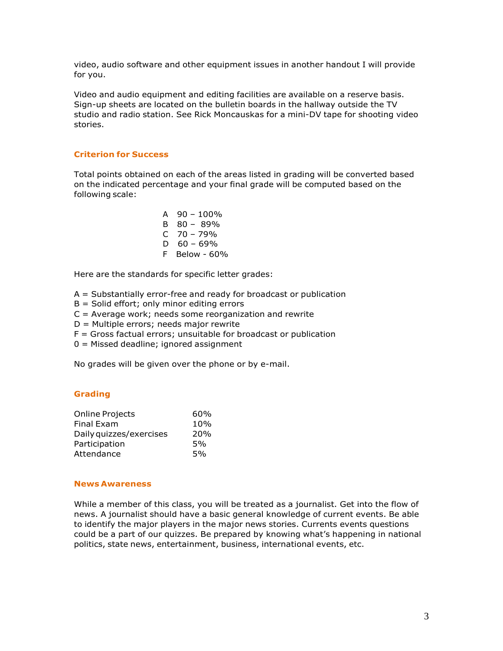video, audio software and other equipment issues in another handout I will provide for you.

Video and audio equipment and editing facilities are available on a reserve basis. Sign-up sheets are located on the bulletin boards in the hallway outside the TV studio and radio station. See Rick Moncauskas for a mini-DV tape for shooting video stories.

# **Criterion for Success**

Total points obtained on each of the areas listed in grading will be converted based on the indicated percentage and your final grade will be computed based on the following scale:

> A  $90 - 100\%$  $B \quad 80 - 89\%$ C 70 – 79% D  $60 - 69%$ F Below - 60%

Here are the standards for specific letter grades:

- A = Substantially error-free and ready for broadcast or publication
- $B =$  Solid effort; only minor editing errors
- $C =$  Average work; needs some reorganization and rewrite
- D = Multiple errors; needs major rewrite
- $F =$  Gross factual errors; unsuitable for broadcast or publication
- 0 = Missed deadline; ignored assignment

No grades will be given over the phone or by e-mail.

#### **Grading**

| 60% |
|-----|
| 10% |
| 20% |
| 5%  |
| 5%  |
|     |

#### **News Awareness**

While a member of this class, you will be treated as a journalist. Get into the flow of news. A journalist should have a basic general knowledge of current events. Be able to identify the major players in the major news stories. Currents events questions could be a part of our quizzes. Be prepared by knowing what's happening in national politics, state news, entertainment, business, international events, etc.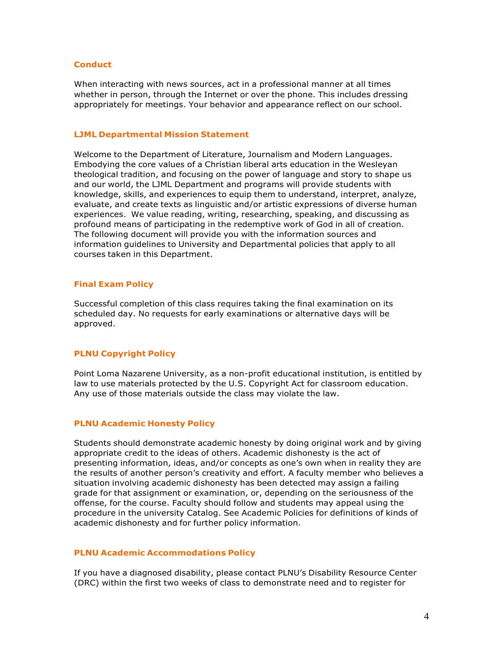## **Conduct**

When interacting with news sources, act in a professional manner at all times whether in person, through the Internet or over the phone. This includes dressing appropriately for meetings. Your behavior and appearance reflect on our school.

#### **LJML Departmental Mission Statement**

Welcome to the Department of Literature, Journalism and Modern Languages. Embodying the core values of a Christian liberal arts education in the Wesleyan theological tradition, and focusing on the power of language and story to shape us and our world, the LJML Department and programs will provide students with knowledge, skills, and experiences to equip them to understand, interpret, analyze, evaluate, and create texts as linguistic and/or artistic expressions of diverse human experiences. We value reading, writing, researching, speaking, and discussing as profound means of participating in the redemptive work of God in all of creation. The following document will provide you with the information sources and information guidelines to University and Departmental policies that apply to all courses taken in this Department.

#### **Final Exam Policy**

Successful completion of this class requires taking the final examination on its scheduled day. No requests for early examinations or alternative days will be approved.

### **PLNU Copyright Policy**

Point Loma Nazarene University, as a non-profit educational institution, is entitled by law to use materials protected by the U.S. Copyright Act for classroom education. Any use of those materials outside the class may violate the law.

#### **PLNU Academic Honesty Policy**

Students should demonstrate academic honesty by doing original work and by giving appropriate credit to the ideas of others. Academic dishonesty is the act of presenting information, ideas, and/or concepts as one's own when in reality they are the results of another person's creativity and effort. A faculty member who believes a situation involving academic dishonesty has been detected may assign a failing grade for that assignment or examination, or, depending on the seriousness of the offense, for the course. Faculty should follow and students may appeal using the procedure in the university Catalog. See Academic Policies for definitions of kinds of academic dishonesty and for further policy information.

#### **PLNU Academic Accommodations Policy**

If you have a diagnosed disability, please contact PLNU's Disability Resource Center (DRC) within the first two weeks of class to demonstrate need and to register for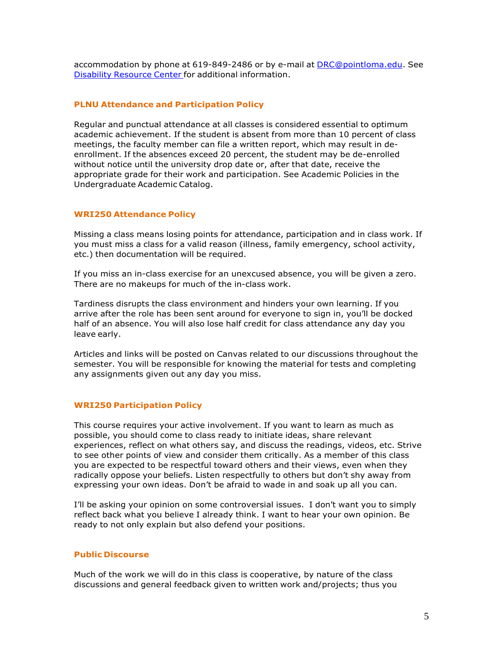accommodation by phone at 619-849-2486 or by e-mail at [DRC@pointloma.edu.](mailto:DRC@pointloma.edu) See Disability Resource Center for additional information.

## **PLNU Attendance and Participation Policy**

Regular and punctual attendance at all classes is considered essential to optimum academic achievement. If the student is absent from more than 10 percent of class meetings, the faculty member can file a written report, which may result in deenrollment. If the absences exceed 20 percent, the student may be de-enrolled without notice until the university drop date or, after that date, receive the appropriate grade for their work and participation. See Academic Policies in the Undergraduate Academic Catalog.

## **WRI250 Attendance Policy**

Missing a class means losing points for attendance, participation and in class work. If you must miss a class for a valid reason (illness, family emergency, school activity, etc.) then documentation will be required.

If you miss an in-class exercise for an unexcused absence, you will be given a zero. There are no makeups for much of the in-class work.

Tardiness disrupts the class environment and hinders your own learning. If you arrive after the role has been sent around for everyone to sign in, you'll be docked half of an absence. You will also lose half credit for class attendance any day you leave early.

Articles and links will be posted on Canvas related to our discussions throughout the semester. You will be responsible for knowing the material for tests and completing any assignments given out any day you miss.

# **WRI250 Participation Policy**

This course requires your active involvement. If you want to learn as much as possible, you should come to class ready to initiate ideas, share relevant experiences, reflect on what others say, and discuss the readings, videos, etc. Strive to see other points of view and consider them critically. As a member of this class you are expected to be respectful toward others and their views, even when they radically oppose your beliefs. Listen respectfully to others but don't shy away from expressing your own ideas. Don't be afraid to wade in and soak up all you can.

I'll be asking your opinion on some controversial issues. I don't want you to simply reflect back what you believe I already think. I want to hear your own opinion. Be ready to not only explain but also defend your positions.

#### **Public Discourse**

Much of the work we will do in this class is cooperative, by nature of the class discussions and general feedback given to written work and/projects; thus you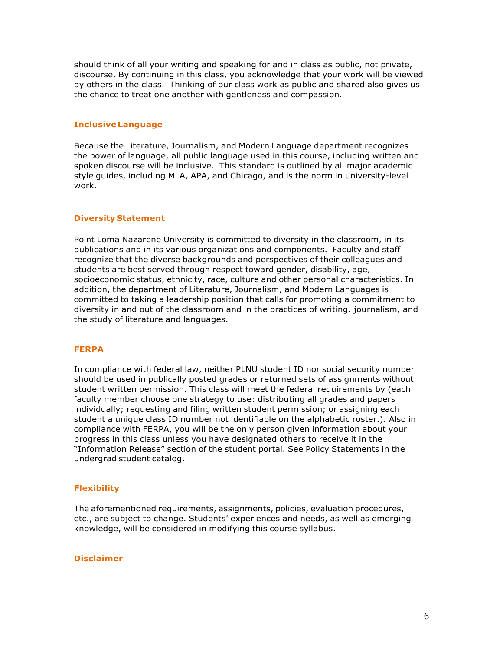should think of all your writing and speaking for and in class as public, not private, discourse. By continuing in this class, you acknowledge that your work will be viewed by others in the class. Thinking of our class work as public and shared also gives us the chance to treat one another with gentleness and compassion.

# **InclusiveLanguage**

Because the Literature, Journalism, and Modern Language department recognizes the power of language, all public language used in this course, including written and spoken discourse will be inclusive. This standard is outlined by all major academic style guides, including MLA, APA, and Chicago, and is the norm in university-level work.

## **Diversity Statement**

Point Loma Nazarene University is committed to diversity in the classroom, in its publications and in its various organizations and components. Faculty and staff recognize that the diverse backgrounds and perspectives of their colleagues and students are best served through respect toward gender, disability, age, socioeconomic status, ethnicity, race, culture and other personal characteristics. In addition, the department of Literature, Journalism, and Modern Languages is committed to taking a leadership position that calls for promoting a commitment to diversity in and out of the classroom and in the practices of writing, journalism, and the study of literature and languages.

#### **FERPA**

In compliance with federal law, neither PLNU student ID nor social security number should be used in publically posted grades or returned sets of assignments without student written permission. This class will meet the federal requirements by (each faculty member choose one strategy to use: distributing all grades and papers individually; requesting and filing written student permission; or assigning each student a unique class ID number not identifiable on the alphabetic roster.). Also in compliance with FERPA, you will be the only person given information about your progress in this class unless you have designated others to receive it in the "Information Release" section of the student portal. See Policy Statements in the undergrad student catalog.

# **Flexibility**

The aforementioned requirements, assignments, policies, evaluation procedures, etc., are subject to change. Students' experiences and needs, as well as emerging knowledge, will be considered in modifying this course syllabus.

#### **Disclaimer**